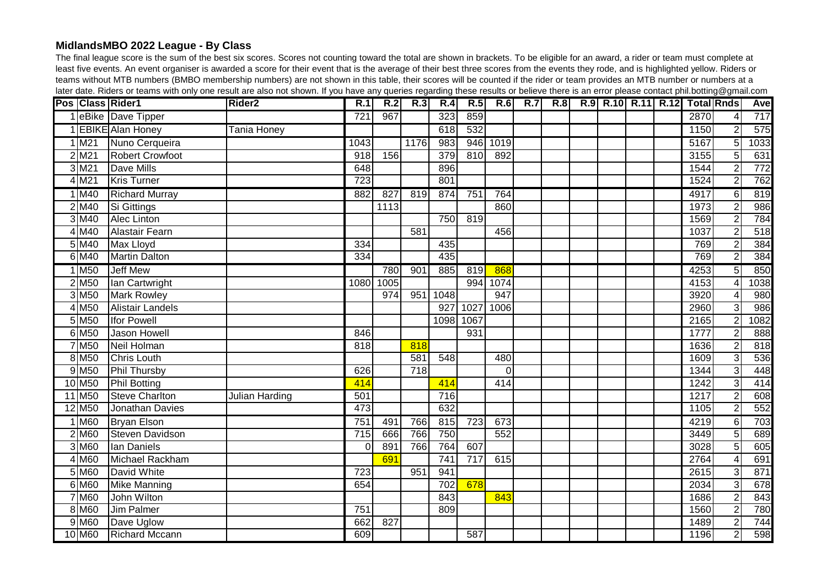## **MidlandsMBO 2022 League - By Class**

The final league score is the sum of the best six scores. Scores not counting toward the total are shown in brackets. To be eligible for an award, a rider or team must complete at least five events. An event organiser is awarded a score for their event that is the average of their best three scores from the events they rode, and is highlighted yellow. Riders or teams without MTB numbers (BMBO membership numbers) are not shown in this table, their scores will be counted if the rider or team provides an MTB number or numbers at a later date. Riders or teams with only one result are also not shown. If you have any queries regarding these results or believe there is an error please contact phil.botting@gmail.com

|                            | Pos Class Rider1        | <b>Rider2</b>  | R.1              | R.2  | R.3              | R.4  | R.5              | R.6      | <b>R.7</b> | R.8 |  |  | R.9 R.10 R.11 R.12 Total Rnds |                | <b>Avel</b> |
|----------------------------|-------------------------|----------------|------------------|------|------------------|------|------------------|----------|------------|-----|--|--|-------------------------------|----------------|-------------|
|                            | 1 eBike Dave Tipper     |                | $\overline{721}$ | 967  |                  | 323  | 859              |          |            |     |  |  | 2870                          | 4              | 717         |
|                            | 1 EBIKE Alan Honey      | Tania Honey    |                  |      |                  | 618  | 532              |          |            |     |  |  | 1150                          | $\overline{2}$ | 575         |
| $1$ M <sub>21</sub>        | Nuno Cerqueira          |                | 1043             |      | 1176             | 983  | 946              | 1019     |            |     |  |  | 5167                          | $\overline{5}$ | 1033        |
| $2$ M <sub>21</sub>        | <b>Robert Crowfoot</b>  |                | $\overline{918}$ | 156  |                  | 379  | 810              | 892      |            |     |  |  | 3155                          | $\overline{5}$ | 631         |
| $3$ M <sub>21</sub>        | Dave Mills              |                | 648              |      |                  | 896  |                  |          |            |     |  |  | 1544                          | $\mathbf{2}$   | 772         |
| $4$ M <sub>21</sub>        | <b>Kris Turner</b>      |                | 723              |      |                  | 801  |                  |          |            |     |  |  | 1524                          | $\overline{2}$ | 762         |
| 1 M40                      | <b>Richard Murray</b>   |                | 882              | 827  | 819              | 874  | 751              | 764      |            |     |  |  | 4917                          | $6 \mid$       | 819         |
| $2$ M <sub>40</sub>        | Si Gittings             |                |                  | 1113 |                  |      |                  | 860      |            |     |  |  | 1973                          | $\overline{2}$ | 986         |
| $3$ M <sub>40</sub>        | Alec Linton             |                |                  |      |                  | 750  | 819              |          |            |     |  |  | 1569                          | 2 <sup>1</sup> | 784         |
| 4 M40                      | <b>Alastair Fearn</b>   |                |                  |      | $\overline{581}$ |      |                  | 456      |            |     |  |  | 1037                          | $\overline{2}$ | 518         |
| $5$ M <sub>40</sub>        | Max Lloyd               |                | 334              |      |                  | 435  |                  |          |            |     |  |  | 769                           | $\overline{2}$ | 384         |
| 6 M40                      | <b>Martin Dalton</b>    |                | 334              |      |                  | 435  |                  |          |            |     |  |  | 769                           | $\overline{2}$ | 384         |
| $1$ M <sub>50</sub>        | Jeff Mew                |                |                  | 780  | 901              | 885  | 819              | 868      |            |     |  |  | 4253                          | $\overline{5}$ | 850         |
| $2$ M <sub>50</sub>        | Ian Cartwright          |                | 1080             | 1005 |                  |      | 994              | 1074     |            |     |  |  | 4153                          |                | 1038        |
| $3$ M <sub>50</sub>        | <b>Mark Rowley</b>      |                |                  | 974  | 951              | 1048 |                  | 947      |            |     |  |  | 3920                          |                | 980         |
| 4 M <sub>50</sub>          | <b>Alistair Landels</b> |                |                  |      |                  | 927  | 1027             | 1006     |            |     |  |  | 2960                          | 3              | 986         |
| $5\overline{\mathrm{M}50}$ | <b>Ifor Powell</b>      |                |                  |      |                  | 1098 | 1067             |          |            |     |  |  | 2165                          | $\overline{2}$ | 1082        |
| 6 M <sub>50</sub>          | Jason Howell            |                | 846              |      |                  |      | 931              |          |            |     |  |  | 1777                          | $\overline{2}$ | 888         |
| 7 M <sub>50</sub>          | Neil Holman             |                | 818              |      | 818              |      |                  |          |            |     |  |  | 1636                          | $\overline{2}$ | 818         |
| 8 M <sub>50</sub>          | <b>Chris Louth</b>      |                |                  |      | 581              | 548  |                  | 480      |            |     |  |  | 1609                          | $\overline{3}$ | 536         |
| $9$ M <sub>50</sub>        | <b>Phil Thursby</b>     |                | 626              |      | $\overline{718}$ |      |                  | $\Omega$ |            |     |  |  | 1344                          | $\overline{3}$ | 448         |
| 10 M <sub>50</sub>         | <b>Phil Botting</b>     |                | 414              |      |                  | 414  |                  | 414      |            |     |  |  | 1242                          | $\overline{3}$ | 414         |
| 11 M <sub>50</sub>         | <b>Steve Charlton</b>   | Julian Harding | 501              |      |                  | 716  |                  |          |            |     |  |  | 1217                          | $\overline{2}$ | 608         |
| 12 M <sub>50</sub>         | Jonathan Davies         |                | 473              |      |                  | 632  |                  |          |            |     |  |  | 1105                          | $\overline{2}$ | 552         |
| $1$ M60                    | <b>Bryan Elson</b>      |                | 751              | 491  | 766              | 815  | $\overline{723}$ | 673      |            |     |  |  | 4219                          | $6 \mid$       | 703         |
| $2$ M60                    | <b>Steven Davidson</b>  |                | 715              | 666  | 766              | 750  |                  | 552      |            |     |  |  | 3449                          | 5 <sup>1</sup> | 689         |
| $3$ M60                    | lan Daniels             |                | $\Omega$         | 891  | 766              | 764  | 607              |          |            |     |  |  | 3028                          | 5 <sup>1</sup> | 605         |
| $4$ M60                    | Michael Rackham         |                |                  | 691  |                  | 741  | 717              | 615      |            |     |  |  | 2764                          | $\vert$        | 691         |
| $5$ M60                    | David White             |                | 723              |      | 951              | 941  |                  |          |            |     |  |  | 2615                          | $\overline{3}$ | 871         |
| $6$ M60                    | <b>Mike Manning</b>     |                | 654              |      |                  | 702  | 678              |          |            |     |  |  | 2034                          | 3              | 678         |
| 7 M60                      | John Wilton             |                |                  |      |                  | 843  |                  | 843      |            |     |  |  | 1686                          | $\overline{2}$ | 843         |
| 8 M60                      | Jim Palmer              |                | 751              |      |                  | 809  |                  |          |            |     |  |  | 1560                          |                | 780         |
| $9$ M60                    | Dave Uglow              |                | 662              | 827  |                  |      |                  |          |            |     |  |  | 1489                          | $\overline{2}$ | 744         |
| 10 M60                     | <b>Richard Mccann</b>   |                | 609              |      |                  |      | $\overline{587}$ |          |            |     |  |  | 1196                          | $\overline{2}$ | 598         |